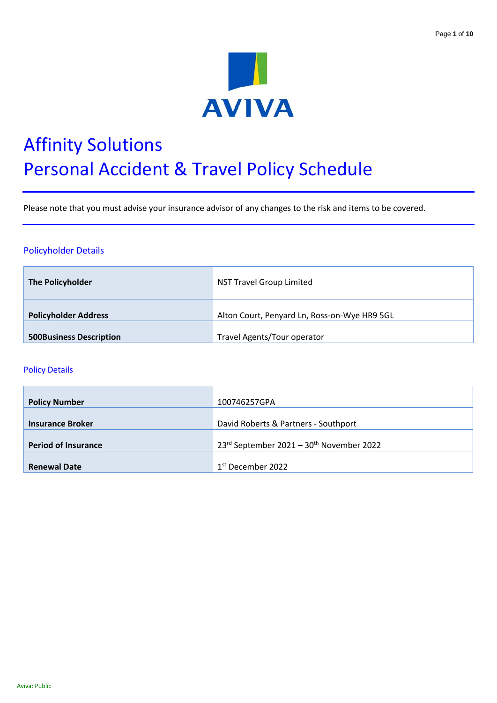

# Affinity Solutions Personal Accident & Travel Policy Schedule

Please note that you must advise your insurance advisor of any changes to the risk and items to be covered.

# Policyholder Details

| The Policyholder               | <b>NST Travel Group Limited</b>              |
|--------------------------------|----------------------------------------------|
| <b>Policyholder Address</b>    | Alton Court, Penyard Ln, Ross-on-Wye HR9 5GL |
| <b>500Business Description</b> | Travel Agents/Tour operator                  |

#### Policy Details

| <b>Policy Number</b>       | 100746257GPA                                         |
|----------------------------|------------------------------------------------------|
| <b>Insurance Broker</b>    | David Roberts & Partners - Southport                 |
| <b>Period of Insurance</b> | 23rd September 2021 - 30 <sup>th</sup> November 2022 |
| <b>Renewal Date</b>        | 1 <sup>st</sup> December 2022                        |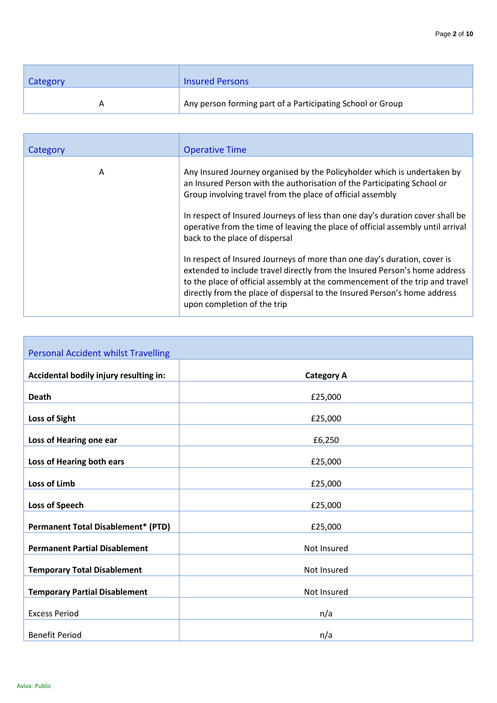| Category | <b>Insured Persons</b>                                     |
|----------|------------------------------------------------------------|
|          | Any person forming part of a Participating School or Group |

| Category | <b>Operative Time</b>                                                                                                                                                                                                                                                                                                                              |
|----------|----------------------------------------------------------------------------------------------------------------------------------------------------------------------------------------------------------------------------------------------------------------------------------------------------------------------------------------------------|
| A        | Any Insured Journey organised by the Policyholder which is undertaken by<br>an Insured Person with the authorisation of the Participating School or<br>Group involving travel from the place of official assembly                                                                                                                                  |
|          | In respect of Insured Journeys of less than one day's duration cover shall be<br>operative from the time of leaving the place of official assembly until arrival<br>back to the place of dispersal                                                                                                                                                 |
|          | In respect of Insured Journeys of more than one day's duration, cover is<br>extended to include travel directly from the Insured Person's home address<br>to the place of official assembly at the commencement of the trip and travel<br>directly from the place of dispersal to the Insured Person's home address<br>upon completion of the trip |

| <b>Personal Accident whilst Travelling</b> |                   |
|--------------------------------------------|-------------------|
| Accidental bodily injury resulting in:     | <b>Category A</b> |
| <b>Death</b>                               | £25,000           |
|                                            |                   |
| <b>Loss of Sight</b>                       | £25,000           |
| Loss of Hearing one ear                    | £6,250            |
| Loss of Hearing both ears                  | £25,000           |
| <b>Loss of Limb</b>                        | £25,000           |
| <b>Loss of Speech</b>                      | £25,000           |
| <b>Permanent Total Disablement* (PTD)</b>  | £25,000           |
| <b>Permanent Partial Disablement</b>       | Not Insured       |
| <b>Temporary Total Disablement</b>         | Not Insured       |
| <b>Temporary Partial Disablement</b>       | Not Insured       |
| <b>Excess Period</b>                       | n/a               |
| <b>Benefit Period</b>                      | n/a               |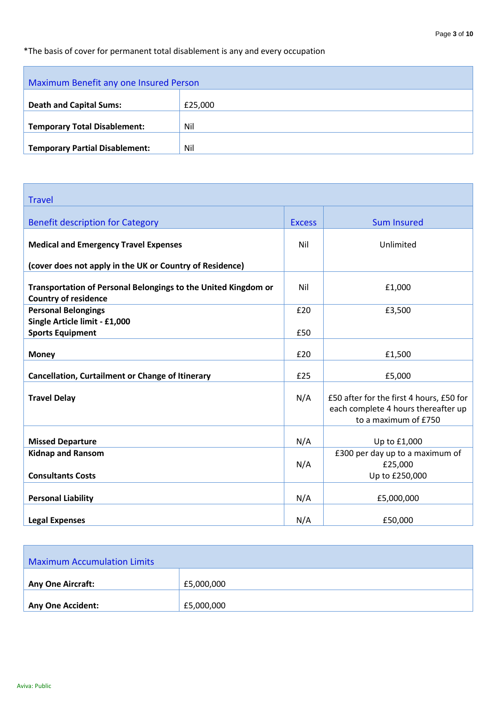# \*The basis of cover for permanent total disablement is any and every occupation

| Maximum Benefit any one Insured Person |         |
|----------------------------------------|---------|
|                                        |         |
| <b>Death and Capital Sums:</b>         | £25,000 |
|                                        |         |
| <b>Temporary Total Disablement:</b>    | Nil     |
|                                        |         |
| <b>Temporary Partial Disablement:</b>  | Nil     |

| <b>Travel</b>                                                                                 |               |                                                                                                         |
|-----------------------------------------------------------------------------------------------|---------------|---------------------------------------------------------------------------------------------------------|
| <b>Benefit description for Category</b>                                                       | <b>Excess</b> | <b>Sum Insured</b>                                                                                      |
| <b>Medical and Emergency Travel Expenses</b>                                                  | Nil           | Unlimited                                                                                               |
| (cover does not apply in the UK or Country of Residence)                                      |               |                                                                                                         |
| Transportation of Personal Belongings to the United Kingdom or<br><b>Country of residence</b> | Nil           | £1,000                                                                                                  |
| <b>Personal Belongings</b>                                                                    | £20           | £3,500                                                                                                  |
| Single Article limit - £1,000<br><b>Sports Equipment</b>                                      | £50           |                                                                                                         |
| <b>Money</b>                                                                                  | £20           | £1,500                                                                                                  |
| <b>Cancellation, Curtailment or Change of Itinerary</b>                                       | £25           | £5,000                                                                                                  |
| <b>Travel Delay</b>                                                                           | N/A           | £50 after for the first 4 hours, £50 for<br>each complete 4 hours thereafter up<br>to a maximum of £750 |
| <b>Missed Departure</b>                                                                       | N/A           | Up to £1,000                                                                                            |
| <b>Kidnap and Ransom</b><br><b>Consultants Costs</b>                                          | N/A           | £300 per day up to a maximum of<br>£25,000<br>Up to £250,000                                            |
|                                                                                               |               |                                                                                                         |
| <b>Personal Liability</b>                                                                     | N/A           | £5,000,000                                                                                              |
| <b>Legal Expenses</b>                                                                         | N/A           | £50,000                                                                                                 |

| <b>Maximum Accumulation Limits</b> |            |
|------------------------------------|------------|
| <b>Any One Aircraft:</b>           | £5,000,000 |
| Any One Accident:                  | £5,000,000 |

Ē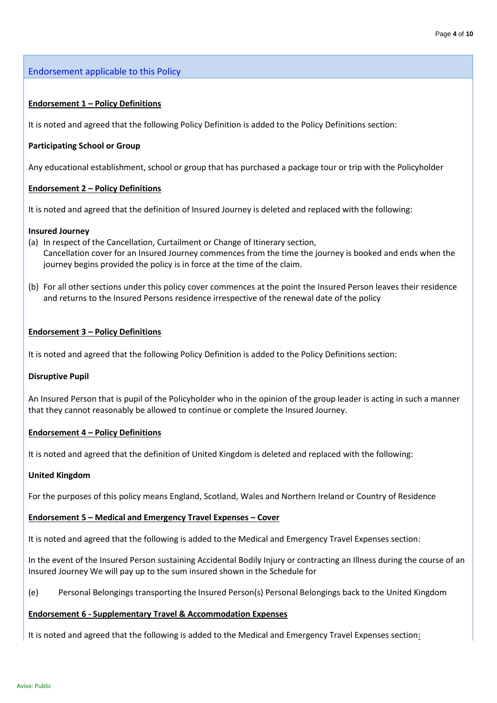Endorsement applicable to this Policy

#### **Endorsement 1 – Policy Definitions**

It is noted and agreed that the following Policy Definition is added to the Policy Definitions section:

#### **Participating School or Group**

Any educational establishment, school or group that has purchased a package tour or trip with the Policyholder

#### **Endorsement 2 – Policy Definitions**

It is noted and agreed that the definition of Insured Journey is deleted and replaced with the following:

#### **Insured Journey**

- (a) In respect of the Cancellation, Curtailment or Change of Itinerary section, Cancellation cover for an Insured Journey commences from the time the journey is booked and ends when the journey begins provided the policy is in force at the time of the claim.
- (b) For all other sections under this policy cover commences at the point the Insured Person leaves their residence and returns to the Insured Persons residence irrespective of the renewal date of the policy

#### **Endorsement 3 – Policy Definitions**

It is noted and agreed that the following Policy Definition is added to the Policy Definitions section:

#### **Disruptive Pupil**

An Insured Person that is pupil of the Policyholder who in the opinion of the group leader is acting in such a manner that they cannot reasonably be allowed to continue or complete the Insured Journey.

#### **Endorsement 4 – Policy Definitions**

It is noted and agreed that the definition of United Kingdom is deleted and replaced with the following:

#### **United Kingdom**

For the purposes of this policy means England, Scotland, Wales and Northern Ireland or Country of Residence

#### **Endorsement 5 – Medical and Emergency Travel Expenses – Cover**

It is noted and agreed that the following is added to the Medical and Emergency Travel Expenses section:

In the event of the Insured Person sustaining Accidental Bodily Injury or contracting an Illness during the course of an Insured Journey We will pay up to the sum insured shown in the Schedule for

(e) Personal Belongings transporting the Insured Person(s) Personal Belongings back to the United Kingdom

#### **Endorsement 6 - Supplementary Travel & Accommodation Expenses**

It is noted and agreed that the following is added to the Medical and Emergency Travel Expenses section: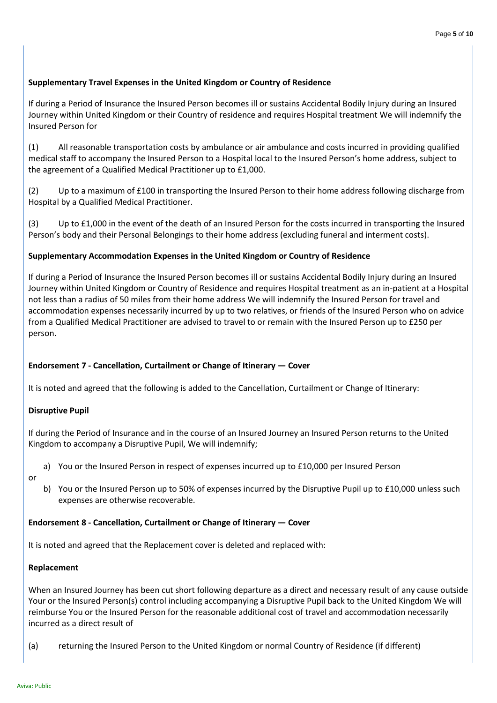# **Supplementary Travel Expenses in the United Kingdom or Country of Residence**

If during a Period of Insurance the Insured Person becomes ill or sustains Accidental Bodily Injury during an Insured Journey within United Kingdom or their Country of residence and requires Hospital treatment We will indemnify the Insured Person for

(1) All reasonable transportation costs by ambulance or air ambulance and costs incurred in providing qualified medical staff to accompany the Insured Person to a Hospital local to the Insured Person's home address, subject to the agreement of a Qualified Medical Practitioner up to £1,000.

(2) Up to a maximum of £100 in transporting the Insured Person to their home address following discharge from Hospital by a Qualified Medical Practitioner.

(3) Up to £1,000 in the event of the death of an Insured Person for the costs incurred in transporting the Insured Person's body and their Personal Belongings to their home address (excluding funeral and interment costs).

# **Supplementary Accommodation Expenses in the United Kingdom or Country of Residence**

If during a Period of Insurance the Insured Person becomes ill or sustains Accidental Bodily Injury during an Insured Journey within United Kingdom or Country of Residence and requires Hospital treatment as an in-patient at a Hospital not less than a radius of 50 miles from their home address We will indemnify the Insured Person for travel and accommodation expenses necessarily incurred by up to two relatives, or friends of the Insured Person who on advice from a Qualified Medical Practitioner are advised to travel to or remain with the Insured Person up to £250 per person.

# **Endorsement 7 - Cancellation, Curtailment or Change of Itinerary — Cover**

It is noted and agreed that the following is added to the Cancellation, Curtailment or Change of Itinerary:

# **Disruptive Pupil**

If during the Period of Insurance and in the course of an Insured Journey an Insured Person returns to the United Kingdom to accompany a Disruptive Pupil, We will indemnify;

- a) You or the Insured Person in respect of expenses incurred up to £10,000 per Insured Person
- or
- b) You or the Insured Person up to 50% of expenses incurred by the Disruptive Pupil up to £10,000 unless such expenses are otherwise recoverable.

# **Endorsement 8 - Cancellation, Curtailment or Change of Itinerary — Cover**

It is noted and agreed that the Replacement cover is deleted and replaced with:

# **Replacement**

When an Insured Journey has been cut short following departure as a direct and necessary result of any cause outside Your or the Insured Person(s) control including accompanying a Disruptive Pupil back to the United Kingdom We will reimburse You or the Insured Person for the reasonable additional cost of travel and accommodation necessarily incurred as a direct result of

(a) returning the Insured Person to the United Kingdom or normal Country of Residence (if different)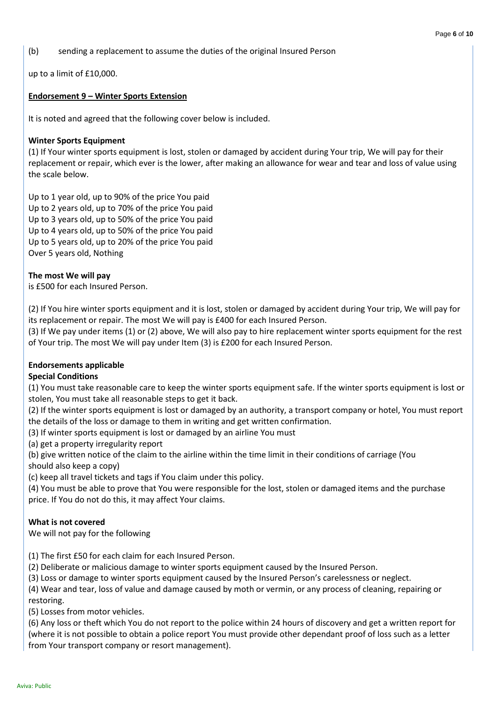(b) sending a replacement to assume the duties of the original Insured Person

up to a limit of £10,000.

#### **Endorsement 9 – Winter Sports Extension**

It is noted and agreed that the following cover below is included.

#### **Winter Sports Equipment**

(1) If Your winter sports equipment is lost, stolen or damaged by accident during Your trip, We will pay for their replacement or repair, which ever is the lower, after making an allowance for wear and tear and loss of value using the scale below.

Up to 1 year old, up to 90% of the price You paid Up to 2 years old, up to 70% of the price You paid Up to 3 years old, up to 50% of the price You paid Up to 4 years old, up to 50% of the price You paid Up to 5 years old, up to 20% of the price You paid Over 5 years old, Nothing

#### **The most We will pay**

is £500 for each Insured Person.

(2) If You hire winter sports equipment and it is lost, stolen or damaged by accident during Your trip, We will pay for its replacement or repair. The most We will pay is £400 for each Insured Person.

(3) If We pay under items (1) or (2) above, We will also pay to hire replacement winter sports equipment for the rest of Your trip. The most We will pay under Item (3) is £200 for each Insured Person.

#### **Endorsements applicable**

#### **Special Conditions**

(1) You must take reasonable care to keep the winter sports equipment safe. If the winter sports equipment is lost or stolen, You must take all reasonable steps to get it back.

(2) If the winter sports equipment is lost or damaged by an authority, a transport company or hotel, You must report the details of the loss or damage to them in writing and get written confirmation.

(3) If winter sports equipment is lost or damaged by an airline You must

(a) get a property irregularity report

(b) give written notice of the claim to the airline within the time limit in their conditions of carriage (You should also keep a copy)

(c) keep all travel tickets and tags if You claim under this policy.

(4) You must be able to prove that You were responsible for the lost, stolen or damaged items and the purchase price. If You do not do this, it may affect Your claims.

#### **What is not covered**

We will not pay for the following

(1) The first £50 for each claim for each Insured Person.

(2) Deliberate or malicious damage to winter sports equipment caused by the Insured Person.

(3) Loss or damage to winter sports equipment caused by the Insured Person's carelessness or neglect.

(4) Wear and tear, loss of value and damage caused by moth or vermin, or any process of cleaning, repairing or restoring.

(5) Losses from motor vehicles.

(6) Any loss or theft which You do not report to the police within 24 hours of discovery and get a written report for (where it is not possible to obtain a police report You must provide other dependant proof of loss such as a letter from Your transport company or resort management).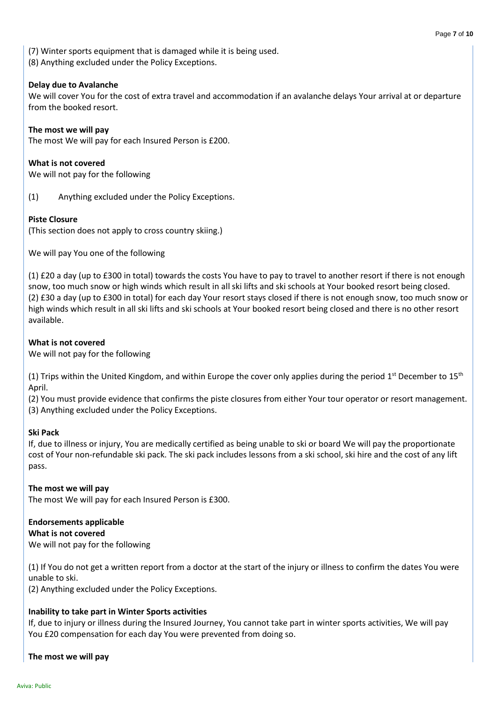(7) Winter sports equipment that is damaged while it is being used.

(8) Anything excluded under the Policy Exceptions.

#### **Delay due to Avalanche**

We will cover You for the cost of extra travel and accommodation if an avalanche delays Your arrival at or departure from the booked resort.

**The most we will pay**

The most We will pay for each Insured Person is £200.

**What is not covered** We will not pay for the following

(1) Anything excluded under the Policy Exceptions.

# **Piste Closure**

(This section does not apply to cross country skiing.)

We will pay You one of the following

(1) £20 a day (up to £300 in total) towards the costs You have to pay to travel to another resort if there is not enough snow, too much snow or high winds which result in all ski lifts and ski schools at Your booked resort being closed. (2) £30 a day (up to £300 in total) for each day Your resort stays closed if there is not enough snow, too much snow or high winds which result in all ski lifts and ski schools at Your booked resort being closed and there is no other resort available.

# **What is not covered**

We will not pay for the following

(1) Trips within the United Kingdom, and within Europe the cover only applies during the period 1<sup>st</sup> December to 15<sup>th</sup> April.

(2) You must provide evidence that confirms the piste closures from either Your tour operator or resort management. (3) Anything excluded under the Policy Exceptions.

# **Ski Pack**

If, due to illness or injury, You are medically certified as being unable to ski or board We will pay the proportionate cost of Your non-refundable ski pack. The ski pack includes lessons from a ski school, ski hire and the cost of any lift pass.

**The most we will pay** The most We will pay for each Insured Person is £300.

# **Endorsements applicable**

**What is not covered**

We will not pay for the following

(1) If You do not get a written report from a doctor at the start of the injury or illness to confirm the dates You were unable to ski.

(2) Anything excluded under the Policy Exceptions.

# **Inability to take part in Winter Sports activities**

If, due to injury or illness during the Insured Journey, You cannot take part in winter sports activities, We will pay You £20 compensation for each day You were prevented from doing so.

**The most we will pay**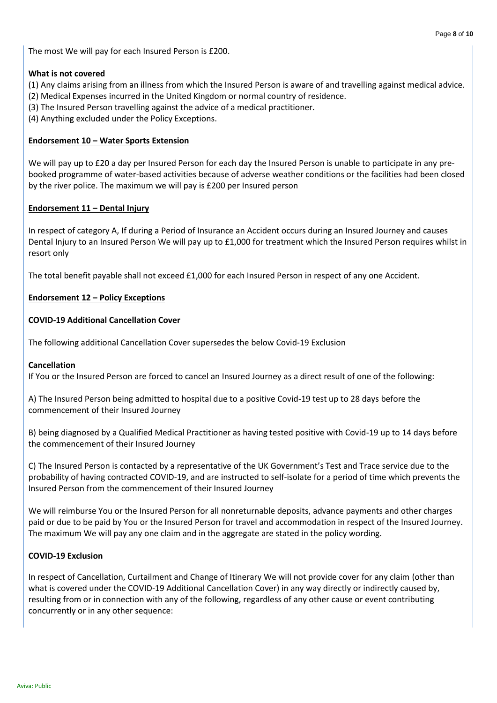The most We will pay for each Insured Person is £200.

#### **What is not covered**

- (1) Any claims arising from an illness from which the Insured Person is aware of and travelling against medical advice.
- (2) Medical Expenses incurred in the United Kingdom or normal country of residence.
- (3) The Insured Person travelling against the advice of a medical practitioner.
- (4) Anything excluded under the Policy Exceptions.

### **Endorsement 10 – Water Sports Extension**

We will pay up to £20 a day per Insured Person for each day the Insured Person is unable to participate in any prebooked programme of water-based activities because of adverse weather conditions or the facilities had been closed by the river police. The maximum we will pay is £200 per Insured person

# **Endorsement 11 – Dental Injury**

In respect of category A, If during a Period of Insurance an Accident occurs during an Insured Journey and causes Dental Injury to an Insured Person We will pay up to £1,000 for treatment which the Insured Person requires whilst in resort only

The total benefit payable shall not exceed £1,000 for each Insured Person in respect of any one Accident.

# **Endorsement 12 – Policy Exceptions**

# **COVID-19 Additional Cancellation Cover**

The following additional Cancellation Cover supersedes the below Covid-19 Exclusion

# **Cancellation**

If You or the Insured Person are forced to cancel an Insured Journey as a direct result of one of the following:

A) The Insured Person being admitted to hospital due to a positive Covid-19 test up to 28 days before the commencement of their Insured Journey

B) being diagnosed by a Qualified Medical Practitioner as having tested positive with Covid-19 up to 14 days before the commencement of their Insured Journey

C) The Insured Person is contacted by a representative of the UK Government's Test and Trace service due to the probability of having contracted COVID-19, and are instructed to self-isolate for a period of time which prevents the Insured Person from the commencement of their Insured Journey

We will reimburse You or the Insured Person for all nonreturnable deposits, advance payments and other charges paid or due to be paid by You or the Insured Person for travel and accommodation in respect of the Insured Journey. The maximum We will pay any one claim and in the aggregate are stated in the policy wording.

# **COVID-19 Exclusion**

In respect of Cancellation, Curtailment and Change of Itinerary We will not provide cover for any claim (other than what is covered under the COVID-19 Additional Cancellation Cover) in any way directly or indirectly caused by, resulting from or in connection with any of the following, regardless of any other cause or event contributing concurrently or in any other sequence: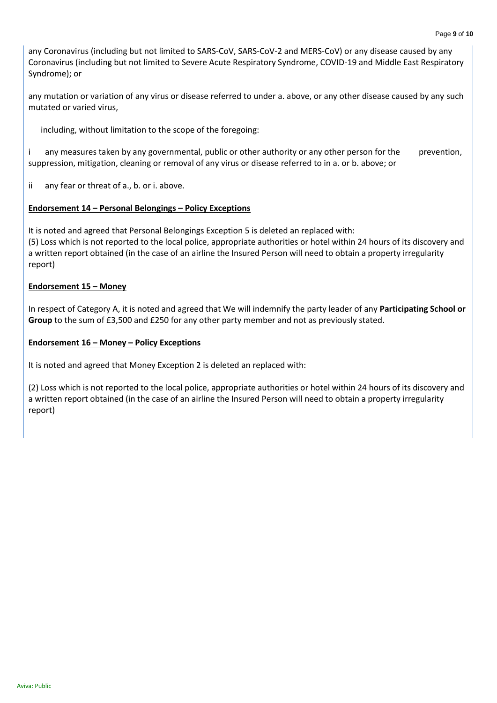any Coronavirus (including but not limited to SARS-CoV, SARS-CoV-2 and MERS-CoV) or any disease caused by any Coronavirus (including but not limited to Severe Acute Respiratory Syndrome, COVID-19 and Middle East Respiratory Syndrome); or

any mutation or variation of any virus or disease referred to under a. above, or any other disease caused by any such mutated or varied virus,

including, without limitation to the scope of the foregoing:

i any measures taken by any governmental, public or other authority or any other person for the prevention, suppression, mitigation, cleaning or removal of any virus or disease referred to in a. or b. above; or

ii any fear or threat of a., b. or i. above.

#### **Endorsement 14 – Personal Belongings – Policy Exceptions**

It is noted and agreed that Personal Belongings Exception 5 is deleted an replaced with: (5) Loss which is not reported to the local police, appropriate authorities or hotel within 24 hours of its discovery and a written report obtained (in the case of an airline the Insured Person will need to obtain a property irregularity report)

#### **Endorsement 15 – Money**

In respect of Category A, it is noted and agreed that We will indemnify the party leader of any **Participating School or Group** to the sum of £3,500 and £250 for any other party member and not as previously stated.

#### **Endorsement 16 – Money – Policy Exceptions**

It is noted and agreed that Money Exception 2 is deleted an replaced with:

(2) Loss which is not reported to the local police, appropriate authorities or hotel within 24 hours of its discovery and a written report obtained (in the case of an airline the Insured Person will need to obtain a property irregularity report)